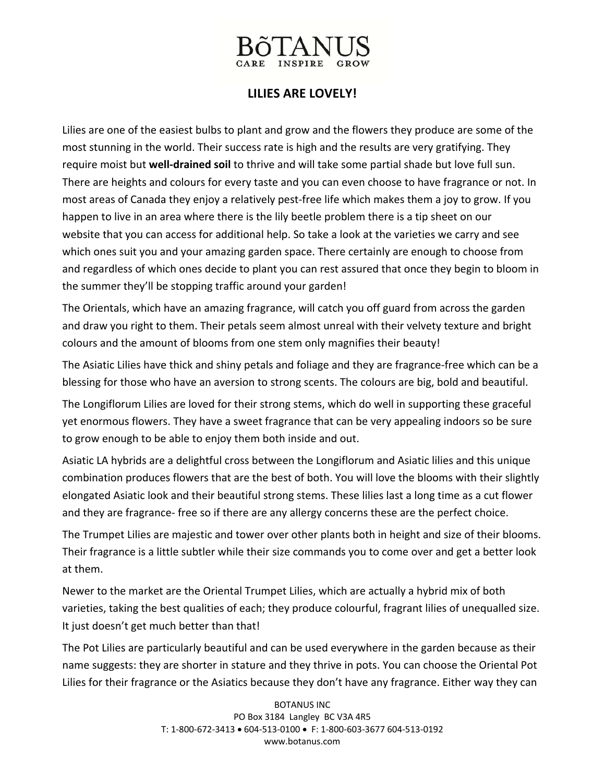

## **LILIES ARE LOVELY!**

Lilies are one of the easiest bulbs to plant and grow and the flowers they produce are some of the most stunning in the world. Their success rate is high and the results are very gratifying. They require moist but **well‐drained soil** to thrive and will take some partial shade but love full sun. There are heights and colours for every taste and you can even choose to have fragrance or not. In most areas of Canada they enjoy a relatively pest‐free life which makes them a joy to grow. If you happen to live in an area where there is the lily beetle problem there is a tip sheet on our website that you can access for additional help. So take a look at the varieties we carry and see which ones suit you and your amazing garden space. There certainly are enough to choose from and regardless of which ones decide to plant you can rest assured that once they begin to bloom in the summer they'll be stopping traffic around your garden!

The Orientals, which have an amazing fragrance, will catch you off guard from across the garden and draw you right to them. Their petals seem almost unreal with their velvety texture and bright colours and the amount of blooms from one stem only magnifies their beauty!

The Asiatic Lilies have thick and shiny petals and foliage and they are fragrance‐free which can be a blessing for those who have an aversion to strong scents. The colours are big, bold and beautiful.

The Longiflorum Lilies are loved for their strong stems, which do well in supporting these graceful yet enormous flowers. They have a sweet fragrance that can be very appealing indoors so be sure to grow enough to be able to enjoy them both inside and out.

Asiatic LA hybrids are a delightful cross between the Longiflorum and Asiatic lilies and this unique combination produces flowers that are the best of both. You will love the blooms with their slightly elongated Asiatic look and their beautiful strong stems. These lilies last a long time as a cut flower and they are fragrance‐ free so if there are any allergy concerns these are the perfect choice.

The Trumpet Lilies are majestic and tower over other plants both in height and size of their blooms. Their fragrance is a little subtler while their size commands you to come over and get a better look at them.

Newer to the market are the Oriental Trumpet Lilies, which are actually a hybrid mix of both varieties, taking the best qualities of each; they produce colourful, fragrant lilies of unequalled size. It just doesn't get much better than that!

The Pot Lilies are particularly beautiful and can be used everywhere in the garden because as their name suggests: they are shorter in stature and they thrive in pots. You can choose the Oriental Pot Lilies for their fragrance or the Asiatics because they don't have any fragrance. Either way they can

> BOTANUS INC PO Box 3184 Langley BC V3A 4R5 T: 1‐800‐672‐3413 • 604‐513‐0100 • F: 1‐800‐603‐3677 604‐513‐0192 www.botanus.com